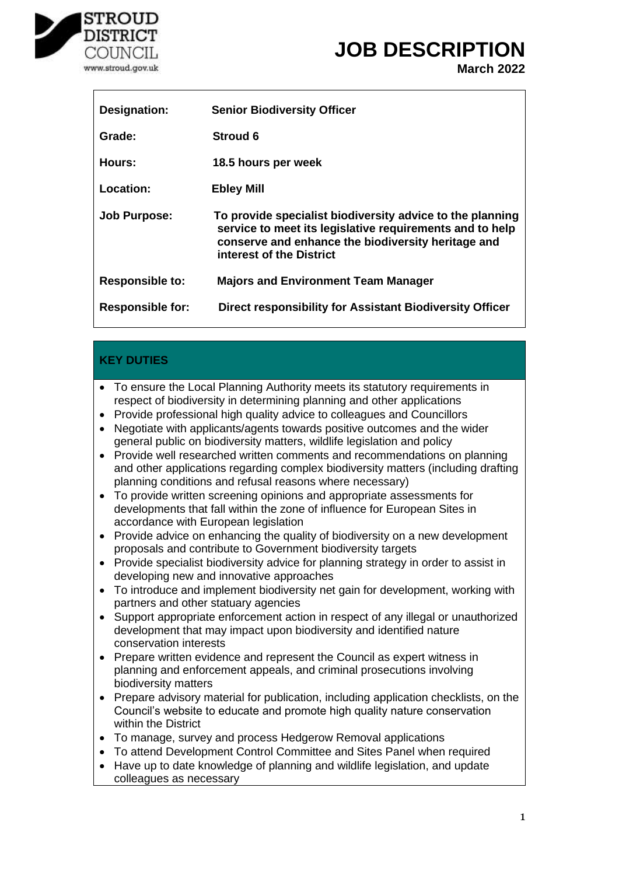

# **JOB DESCRIPTION**

**March 2022**

| Designation:            | <b>Senior Biodiversity Officer</b>                                                                                                                                                                      |
|-------------------------|---------------------------------------------------------------------------------------------------------------------------------------------------------------------------------------------------------|
| Grade:                  | <b>Stroud 6</b>                                                                                                                                                                                         |
| Hours:                  | 18.5 hours per week                                                                                                                                                                                     |
| Location:               | <b>Ebley Mill</b>                                                                                                                                                                                       |
| <b>Job Purpose:</b>     | To provide specialist biodiversity advice to the planning<br>service to meet its legislative requirements and to help<br>conserve and enhance the biodiversity heritage and<br>interest of the District |
| <b>Responsible to:</b>  | <b>Majors and Environment Team Manager</b>                                                                                                                                                              |
| <b>Responsible for:</b> | Direct responsibility for Assistant Biodiversity Officer                                                                                                                                                |

### **KEY DUTIES**

- To ensure the Local Planning Authority meets its statutory requirements in respect of biodiversity in determining planning and other applications
- Provide professional high quality advice to colleagues and Councillors
- Negotiate with applicants/agents towards positive outcomes and the wider general public on biodiversity matters, wildlife legislation and policy
- Provide well researched written comments and recommendations on planning and other applications regarding complex biodiversity matters (including drafting planning conditions and refusal reasons where necessary)
- To provide written screening opinions and appropriate assessments for developments that fall within the zone of influence for European Sites in accordance with European legislation
- Provide advice on enhancing the quality of biodiversity on a new development proposals and contribute to Government biodiversity targets
- Provide specialist biodiversity advice for planning strategy in order to assist in developing new and innovative approaches
- To introduce and implement biodiversity net gain for development, working with partners and other statuary agencies
- Support appropriate enforcement action in respect of any illegal or unauthorized development that may impact upon biodiversity and identified nature conservation interests
- Prepare written evidence and represent the Council as expert witness in planning and enforcement appeals, and criminal prosecutions involving biodiversity matters
- Prepare advisory material for publication, including application checklists, on the Council's website to educate and promote high quality nature conservation within the District
- To manage, survey and process Hedgerow Removal applications
- To attend Development Control Committee and Sites Panel when required
- Have up to date knowledge of planning and wildlife legislation, and update colleagues as necessary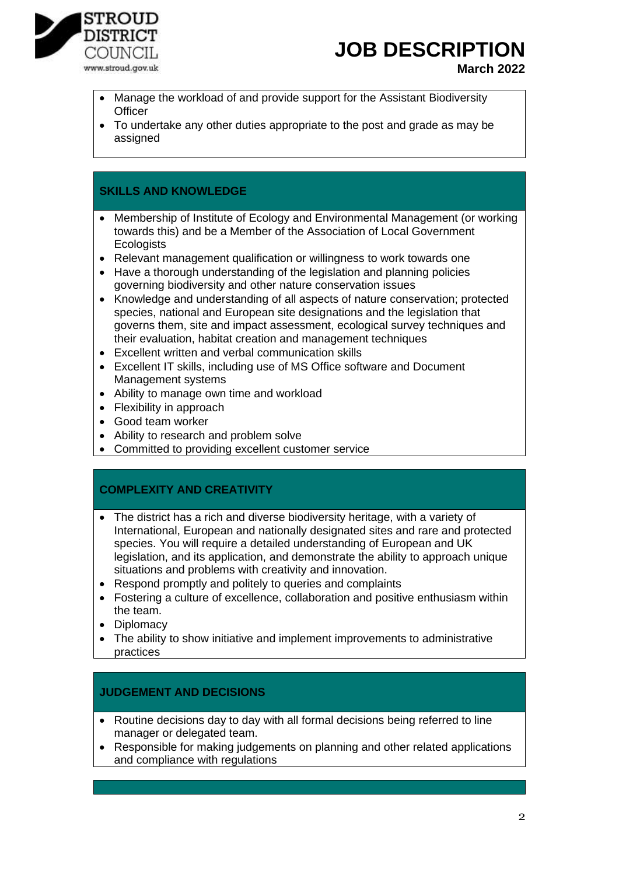

# **JOB DESCRIPTION**

#### **March 2022**

- Manage the workload of and provide support for the Assistant Biodiversity **Officer**
- To undertake any other duties appropriate to the post and grade as may be assigned

#### **SKILLS AND KNOWLEDGE**

- Membership of Institute of Ecology and Environmental Management (or working towards this) and be a Member of the Association of Local Government **Ecologists**
- Relevant management qualification or willingness to work towards one
- Have a thorough understanding of the legislation and planning policies governing biodiversity and other nature conservation issues
- Knowledge and understanding of all aspects of nature conservation; protected species, national and European site designations and the legislation that governs them, site and impact assessment, ecological survey techniques and their evaluation, habitat creation and management techniques
- Excellent written and verbal communication skills
- Excellent IT skills, including use of MS Office software and Document Management systems
- Ability to manage own time and workload
- Flexibility in approach
- Good team worker
- Ability to research and problem solve
- Committed to providing excellent customer service

#### **COMPLEXITY AND CREATIVITY**

- The district has a rich and diverse biodiversity heritage, with a variety of International, European and nationally designated sites and rare and protected species. You will require a detailed understanding of European and UK legislation, and its application, and demonstrate the ability to approach unique situations and problems with creativity and innovation.
- Respond promptly and politely to queries and complaints
- Fostering a culture of excellence, collaboration and positive enthusiasm within the team.
- Diplomacy
- The ability to show initiative and implement improvements to administrative practices

#### **JUDGEMENT AND DECISIONS**

- Routine decisions day to day with all formal decisions being referred to line manager or delegated team.
- Responsible for making judgements on planning and other related applications and compliance with regulations